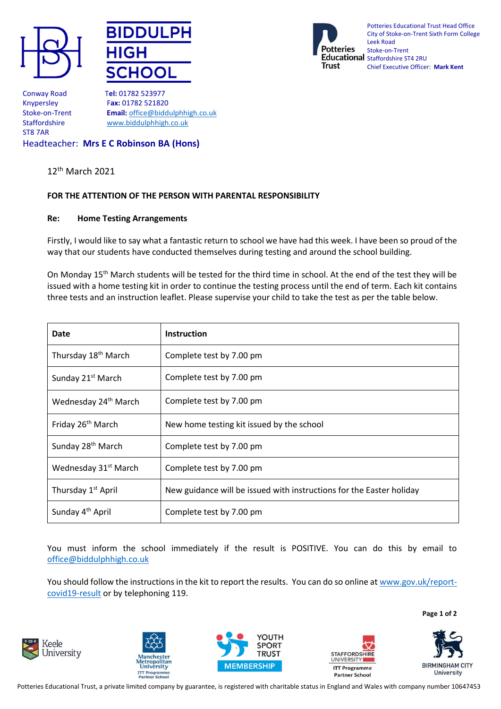





Potteries Educational Trust Head Office City of Stoke-on-Trent Sixth Form College Leek Road Stoke-on-Trent Educational Staffordshire ST4 2RU Chief Executive Officer: **Mark Kent**

Conway Road T**el:** 01782 523977 ST8 7AR

Knypersley F**ax:** 01782 521820 Stoke-on-Trent **Email:** [office@biddulphhigh.co.uk](mailto:office@biddulphhigh.co.uk) Staffordshire [www.biddulphhigh.co.uk](http://www.biddulphhigh.co.uk/) 

## Headteacher: **Mrs E C Robinson BA (Hons)**

12th March 2021

## **FOR THE ATTENTION OF THE PERSON WITH PARENTAL RESPONSIBILITY**

## **Re: Home Testing Arrangements**

Firstly, I would like to say what a fantastic return to school we have had this week. I have been so proud of the way that our students have conducted themselves during testing and around the school building.

On Monday 15th March students will be tested for the third time in school. At the end of the test they will be issued with a home testing kit in order to continue the testing process until the end of term. Each kit contains three tests and an instruction leaflet. Please supervise your child to take the test as per the table below.

| Date                             | <b>Instruction</b>                                                   |
|----------------------------------|----------------------------------------------------------------------|
| Thursday 18 <sup>th</sup> March  | Complete test by 7.00 pm                                             |
| Sunday 21 <sup>st</sup> March    | Complete test by 7.00 pm                                             |
| Wednesday 24 <sup>th</sup> March | Complete test by 7.00 pm                                             |
| Friday 26 <sup>th</sup> March    | New home testing kit issued by the school                            |
| Sunday 28 <sup>th</sup> March    | Complete test by 7.00 pm                                             |
| Wednesday 31 <sup>st</sup> March | Complete test by 7.00 pm                                             |
| Thursday 1 <sup>st</sup> April   | New guidance will be issued with instructions for the Easter holiday |
| Sunday 4 <sup>th</sup> April     | Complete test by 7.00 pm                                             |

You must inform the school immediately if the result is POSITIVE. You can do this by email to [office@biddulphhigh.co.uk](mailto:office@biddulphhigh.co.uk) 

You should follow the instructions in the kit to report the results. You can do so online a[t www.gov.uk/report](http://www.gov.uk/report-covid19-result)[covid19-result](http://www.gov.uk/report-covid19-result) or by telephoning 119.

**Page 1 of 2**











Potteries Educational Trust, a private limited company by guarantee, is registered with charitable status in England and Wales with company number 10647453